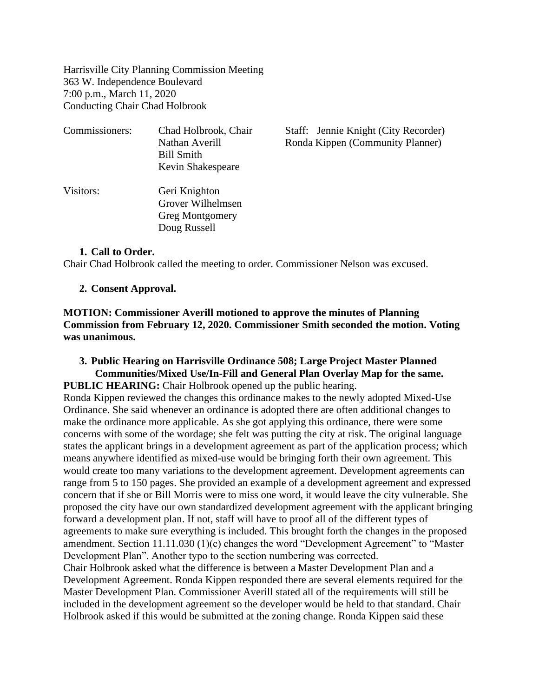Harrisville City Planning Commission Meeting 363 W. Independence Boulevard 7:00 p.m., March 11, 2020 Conducting Chair Chad Holbrook

| Commissioners: | Chad Holbrook, Chair<br>Nathan Averill<br><b>Bill Smith</b><br>Kevin Shakespeare | Staff: Jennie Knight (City Recorder)<br>Ronda Kippen (Community Planner) |
|----------------|----------------------------------------------------------------------------------|--------------------------------------------------------------------------|
| Visitors:      | Geri Knighton<br>Grover Wilhelmsen<br><b>Greg Montgomery</b><br>Doug Russell     |                                                                          |

### **1. Call to Order.**

Chair Chad Holbrook called the meeting to order. Commissioner Nelson was excused.

### **2. Consent Approval.**

**MOTION: Commissioner Averill motioned to approve the minutes of Planning Commission from February 12, 2020. Commissioner Smith seconded the motion. Voting was unanimous.**

## **3. Public Hearing on Harrisville Ordinance 508; Large Project Master Planned Communities/Mixed Use/In-Fill and General Plan Overlay Map for the same. PUBLIC HEARING:** Chair Holbrook opened up the public hearing.

Ronda Kippen reviewed the changes this ordinance makes to the newly adopted Mixed-Use Ordinance. She said whenever an ordinance is adopted there are often additional changes to make the ordinance more applicable. As she got applying this ordinance, there were some concerns with some of the wordage; she felt was putting the city at risk. The original language states the applicant brings in a development agreement as part of the application process; which means anywhere identified as mixed-use would be bringing forth their own agreement. This would create too many variations to the development agreement. Development agreements can range from 5 to 150 pages. She provided an example of a development agreement and expressed concern that if she or Bill Morris were to miss one word, it would leave the city vulnerable. She proposed the city have our own standardized development agreement with the applicant bringing forward a development plan. If not, staff will have to proof all of the different types of agreements to make sure everything is included. This brought forth the changes in the proposed amendment. Section 11.11.030 (1)(c) changes the word "Development Agreement" to "Master Development Plan". Another typo to the section numbering was corrected.

Chair Holbrook asked what the difference is between a Master Development Plan and a Development Agreement. Ronda Kippen responded there are several elements required for the Master Development Plan. Commissioner Averill stated all of the requirements will still be included in the development agreement so the developer would be held to that standard. Chair Holbrook asked if this would be submitted at the zoning change. Ronda Kippen said these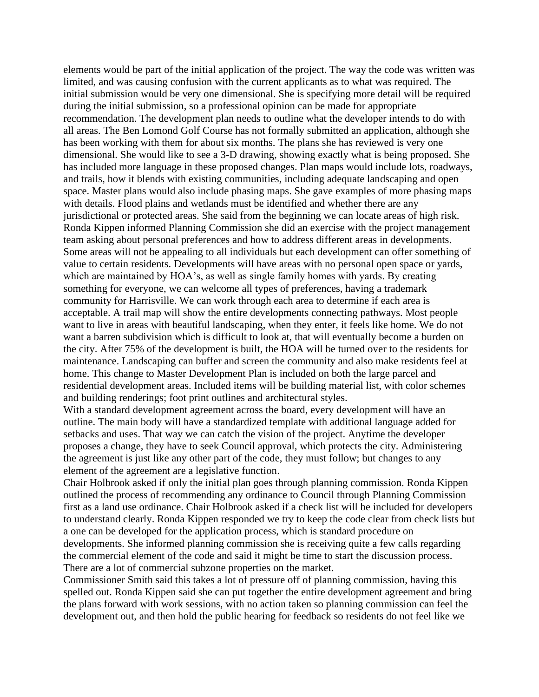elements would be part of the initial application of the project. The way the code was written was limited, and was causing confusion with the current applicants as to what was required. The initial submission would be very one dimensional. She is specifying more detail will be required during the initial submission, so a professional opinion can be made for appropriate recommendation. The development plan needs to outline what the developer intends to do with all areas. The Ben Lomond Golf Course has not formally submitted an application, although she has been working with them for about six months. The plans she has reviewed is very one dimensional. She would like to see a 3-D drawing, showing exactly what is being proposed. She has included more language in these proposed changes. Plan maps would include lots, roadways, and trails, how it blends with existing communities, including adequate landscaping and open space. Master plans would also include phasing maps. She gave examples of more phasing maps with details. Flood plains and wetlands must be identified and whether there are any jurisdictional or protected areas. She said from the beginning we can locate areas of high risk. Ronda Kippen informed Planning Commission she did an exercise with the project management team asking about personal preferences and how to address different areas in developments. Some areas will not be appealing to all individuals but each development can offer something of value to certain residents. Developments will have areas with no personal open space or yards, which are maintained by HOA's, as well as single family homes with yards. By creating something for everyone, we can welcome all types of preferences, having a trademark community for Harrisville. We can work through each area to determine if each area is acceptable. A trail map will show the entire developments connecting pathways. Most people want to live in areas with beautiful landscaping, when they enter, it feels like home. We do not want a barren subdivision which is difficult to look at, that will eventually become a burden on the city. After 75% of the development is built, the HOA will be turned over to the residents for maintenance. Landscaping can buffer and screen the community and also make residents feel at home. This change to Master Development Plan is included on both the large parcel and residential development areas. Included items will be building material list, with color schemes and building renderings; foot print outlines and architectural styles.

With a standard development agreement across the board, every development will have an outline. The main body will have a standardized template with additional language added for setbacks and uses. That way we can catch the vision of the project. Anytime the developer proposes a change, they have to seek Council approval, which protects the city. Administering the agreement is just like any other part of the code, they must follow; but changes to any element of the agreement are a legislative function.

Chair Holbrook asked if only the initial plan goes through planning commission. Ronda Kippen outlined the process of recommending any ordinance to Council through Planning Commission first as a land use ordinance. Chair Holbrook asked if a check list will be included for developers to understand clearly. Ronda Kippen responded we try to keep the code clear from check lists but a one can be developed for the application process, which is standard procedure on developments. She informed planning commission she is receiving quite a few calls regarding the commercial element of the code and said it might be time to start the discussion process. There are a lot of commercial subzone properties on the market.

Commissioner Smith said this takes a lot of pressure off of planning commission, having this spelled out. Ronda Kippen said she can put together the entire development agreement and bring the plans forward with work sessions, with no action taken so planning commission can feel the development out, and then hold the public hearing for feedback so residents do not feel like we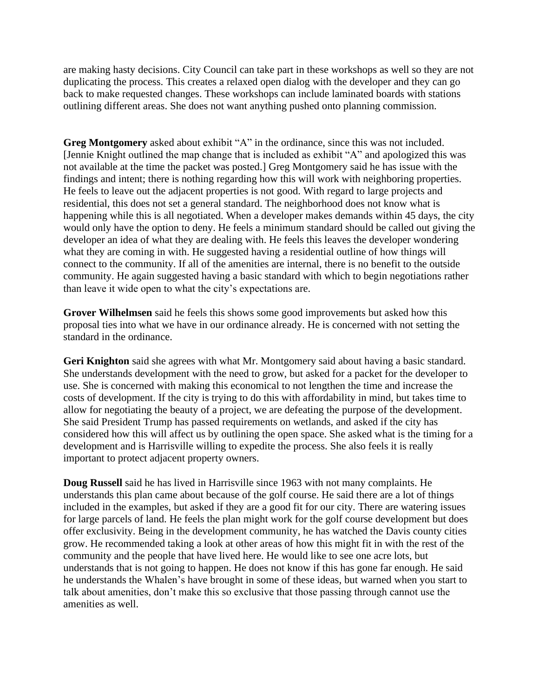are making hasty decisions. City Council can take part in these workshops as well so they are not duplicating the process. This creates a relaxed open dialog with the developer and they can go back to make requested changes. These workshops can include laminated boards with stations outlining different areas. She does not want anything pushed onto planning commission.

**Greg Montgomery** asked about exhibit "A" in the ordinance, since this was not included. [Jennie Knight outlined the map change that is included as exhibit "A" and apologized this was not available at the time the packet was posted.] Greg Montgomery said he has issue with the findings and intent; there is nothing regarding how this will work with neighboring properties. He feels to leave out the adjacent properties is not good. With regard to large projects and residential, this does not set a general standard. The neighborhood does not know what is happening while this is all negotiated. When a developer makes demands within 45 days, the city would only have the option to deny. He feels a minimum standard should be called out giving the developer an idea of what they are dealing with. He feels this leaves the developer wondering what they are coming in with. He suggested having a residential outline of how things will connect to the community. If all of the amenities are internal, there is no benefit to the outside community. He again suggested having a basic standard with which to begin negotiations rather than leave it wide open to what the city's expectations are.

**Grover Wilhelmsen** said he feels this shows some good improvements but asked how this proposal ties into what we have in our ordinance already. He is concerned with not setting the standard in the ordinance.

**Geri Knighton** said she agrees with what Mr. Montgomery said about having a basic standard. She understands development with the need to grow, but asked for a packet for the developer to use. She is concerned with making this economical to not lengthen the time and increase the costs of development. If the city is trying to do this with affordability in mind, but takes time to allow for negotiating the beauty of a project, we are defeating the purpose of the development. She said President Trump has passed requirements on wetlands, and asked if the city has considered how this will affect us by outlining the open space. She asked what is the timing for a development and is Harrisville willing to expedite the process. She also feels it is really important to protect adjacent property owners.

**Doug Russell** said he has lived in Harrisville since 1963 with not many complaints. He understands this plan came about because of the golf course. He said there are a lot of things included in the examples, but asked if they are a good fit for our city. There are watering issues for large parcels of land. He feels the plan might work for the golf course development but does offer exclusivity. Being in the development community, he has watched the Davis county cities grow. He recommended taking a look at other areas of how this might fit in with the rest of the community and the people that have lived here. He would like to see one acre lots, but understands that is not going to happen. He does not know if this has gone far enough. He said he understands the Whalen's have brought in some of these ideas, but warned when you start to talk about amenities, don't make this so exclusive that those passing through cannot use the amenities as well.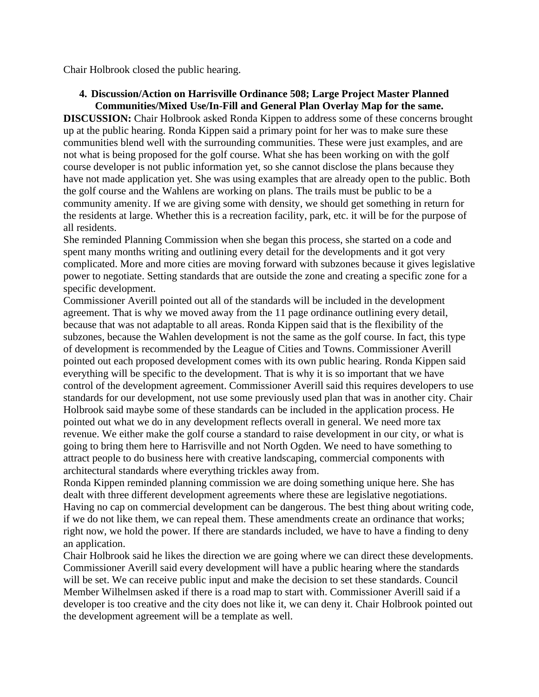Chair Holbrook closed the public hearing.

# **4. Discussion/Action on Harrisville Ordinance 508; Large Project Master Planned Communities/Mixed Use/In-Fill and General Plan Overlay Map for the same.**

**DISCUSSION:** Chair Holbrook asked Ronda Kippen to address some of these concerns brought up at the public hearing. Ronda Kippen said a primary point for her was to make sure these communities blend well with the surrounding communities. These were just examples, and are not what is being proposed for the golf course. What she has been working on with the golf course developer is not public information yet, so she cannot disclose the plans because they have not made application yet. She was using examples that are already open to the public. Both the golf course and the Wahlens are working on plans. The trails must be public to be a community amenity. If we are giving some with density, we should get something in return for the residents at large. Whether this is a recreation facility, park, etc. it will be for the purpose of all residents.

She reminded Planning Commission when she began this process, she started on a code and spent many months writing and outlining every detail for the developments and it got very complicated. More and more cities are moving forward with subzones because it gives legislative power to negotiate. Setting standards that are outside the zone and creating a specific zone for a specific development.

Commissioner Averill pointed out all of the standards will be included in the development agreement. That is why we moved away from the 11 page ordinance outlining every detail, because that was not adaptable to all areas. Ronda Kippen said that is the flexibility of the subzones, because the Wahlen development is not the same as the golf course. In fact, this type of development is recommended by the League of Cities and Towns. Commissioner Averill pointed out each proposed development comes with its own public hearing. Ronda Kippen said everything will be specific to the development. That is why it is so important that we have control of the development agreement. Commissioner Averill said this requires developers to use standards for our development, not use some previously used plan that was in another city. Chair Holbrook said maybe some of these standards can be included in the application process. He pointed out what we do in any development reflects overall in general. We need more tax revenue. We either make the golf course a standard to raise development in our city, or what is going to bring them here to Harrisville and not North Ogden. We need to have something to attract people to do business here with creative landscaping, commercial components with architectural standards where everything trickles away from.

Ronda Kippen reminded planning commission we are doing something unique here. She has dealt with three different development agreements where these are legislative negotiations. Having no cap on commercial development can be dangerous. The best thing about writing code, if we do not like them, we can repeal them. These amendments create an ordinance that works; right now, we hold the power. If there are standards included, we have to have a finding to deny an application.

Chair Holbrook said he likes the direction we are going where we can direct these developments. Commissioner Averill said every development will have a public hearing where the standards will be set. We can receive public input and make the decision to set these standards. Council Member Wilhelmsen asked if there is a road map to start with. Commissioner Averill said if a developer is too creative and the city does not like it, we can deny it. Chair Holbrook pointed out the development agreement will be a template as well.